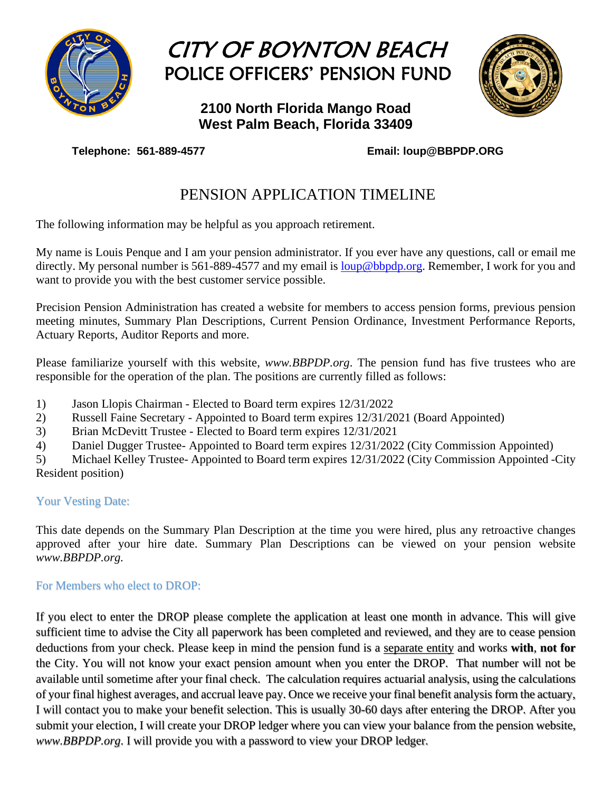

# CITY OF BOYNTON BEACH POLICE OFFICERS' PENSION FUND

### **2100 North Florida Mango Road West Palm Beach, Florida 33409**



**Telephone: 561-889-4577 Email: loup@BBPDP.ORG**

## PENSION APPLICATION TIMELINE

The following information may be helpful as you approach retirement.

My name is Louis Penque and I am your pension administrator. If you ever have any questions, call or email me directly. My personal number is 561-889-4577 and my email is [loup@bbpdp.org.](mailto:loup@bbpdp.org) Remember, I work for you and want to provide you with the best customer service possible.

Precision Pension Administration has created a website for members to access pension forms, previous pension meeting minutes, Summary Plan Descriptions, Current Pension Ordinance, Investment Performance Reports, Actuary Reports, Auditor Reports and more.

Please familiarize yourself with this website, *www.BBPDP.org*. The pension fund has five trustees who are responsible for the operation of the plan. The positions are currently filled as follows:

- 1) Jason Llopis Chairman Elected to Board term expires 12/31/2022
- 2) Russell Faine Secretary Appointed to Board term expires 12/31/2021 (Board Appointed)
- 3) Brian McDevitt Trustee Elected to Board term expires 12/31/2021
- 4) Daniel Dugger Trustee- Appointed to Board term expires 12/31/2022 (City Commission Appointed)

5) Michael Kelley Trustee- Appointed to Board term expires 12/31/2022 (City Commission Appointed -City Resident position)

### Your Vesting Date:

This date depends on the Summary Plan Description at the time you were hired, plus any retroactive changes approved after your hire date. Summary Plan Descriptions can be viewed on your pension website *www.BBPDP.org.*

### For Members who elect to DROP:

If you elect to enter the DROP please complete the application at least one month in advance. This will give sufficient time to advise the City all paperwork has been completed and reviewed, and they are to cease pension deductions from your check. Please keep in mind the pension fund is a separate entity and works **with**, **not for** the City. You will not know your exact pension amount when you enter the DROP. That number will not be available until sometime after your final check. The calculation requires actuarial analysis, using the calculations of your final highest averages, and accrual leave pay. Once we receive your final benefit analysis form the actuary, I will contact you to make your benefit selection. This is usually 30-60 days after entering the DROP. After you submit your election, I will create your DROP ledger where you can view your balance from the pension website, *www.BBPDP.org*. I will provide you with a password to view your DROP ledger.